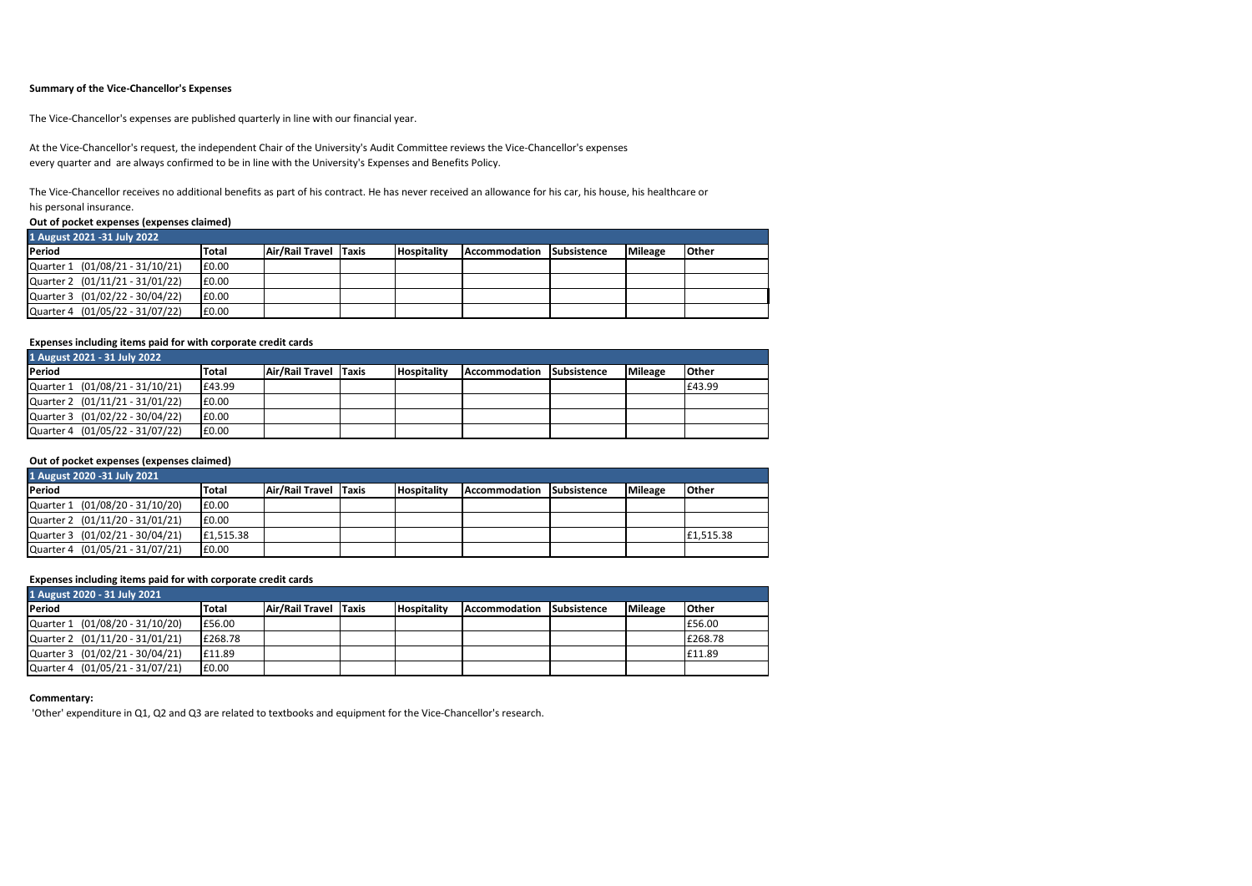### **Summary of the Vice-Chancellor's Expenses**

The Vice-Chancellor's expenses are published quarterly in line with our financial year.

At the Vice-Chancellor's request, the independent Chair of the University's Audit Committee reviews the Vice-Chancellor's expenses every quarter and are always confirmed to be in line with the University's Expenses and Benefits Policy.

The Vice-Chancellor receives no additional benefits as part of his contract. He has never received an allowance for his car, his house, his healthcare or his personal insurance.

#### **Out of pocket expenses (expenses claimed)**

| 1 August 2021 -31 July 2022     |              |                       |  |                    |               |                    |                |              |  |
|---------------------------------|--------------|-----------------------|--|--------------------|---------------|--------------------|----------------|--------------|--|
| Period                          | <b>Total</b> | Air/Rail Travel Taxis |  | <b>Hospitality</b> | Accommodation | <b>Subsistence</b> | <b>Mileage</b> | <b>Other</b> |  |
| Quarter 1 (01/08/21 - 31/10/21) | £0.00        |                       |  |                    |               |                    |                |              |  |
| Quarter 2 (01/11/21 - 31/01/22) | £0.00        |                       |  |                    |               |                    |                |              |  |
| Quarter 3 (01/02/22 - 30/04/22) | £0.00        |                       |  |                    |               |                    |                |              |  |
| Quarter 4 (01/05/22 - 31/07/22) | £0.00        |                       |  |                    |               |                    |                |              |  |

### **Expenses including items paid for with corporate credit cards**

| 1 August 2021 - 31 July 2022    |        |                       |  |                    |               |             |                |        |  |
|---------------------------------|--------|-----------------------|--|--------------------|---------------|-------------|----------------|--------|--|
| Period                          | Total  | Air/Rail Travel Taxis |  | <b>Hospitality</b> | Accommodation | Subsistence | <b>Mileage</b> | Other  |  |
| Quarter 1 (01/08/21 - 31/10/21) | £43.99 |                       |  |                    |               |             |                | £43.99 |  |
| Quarter 2 (01/11/21 - 31/01/22) | £0.00  |                       |  |                    |               |             |                |        |  |
| Quarter 3 (01/02/22 - 30/04/22) | £0.00  |                       |  |                    |               |             |                |        |  |
| Quarter 4 (01/05/22 - 31/07/22) | £0.00  |                       |  |                    |               |             |                |        |  |

### **Out of pocket expenses (expenses claimed)**

| 1 August 2020 - 31 July 2021    |           |                       |  |                    |               |             |                |              |  |  |
|---------------------------------|-----------|-----------------------|--|--------------------|---------------|-------------|----------------|--------------|--|--|
| Period                          | Total     | Air/Rail Travel Taxis |  | <b>Hospitality</b> | Accommodation | Subsistence | <b>Mileage</b> | <b>Other</b> |  |  |
| Quarter 1 (01/08/20 - 31/10/20) | £0.00     |                       |  |                    |               |             |                |              |  |  |
| Quarter 2 (01/11/20 - 31/01/21) | £0.00     |                       |  |                    |               |             |                |              |  |  |
| Quarter 3 (01/02/21 - 30/04/21) | £1.515.38 |                       |  |                    |               |             |                | £1.515.38    |  |  |
| Quarter 4 (01/05/21 - 31/07/21) | £0.00     |                       |  |                    |               |             |                |              |  |  |

### **Expenses including items paid for with corporate credit cards**

| 1 August 2020 - 31 July 2021    |         |                       |  |                    |               |             |                |         |  |
|---------------------------------|---------|-----------------------|--|--------------------|---------------|-------------|----------------|---------|--|
| Period                          | Total   | Air/Rail Travel Taxis |  | <b>Hospitality</b> | Accommodation | Subsistence | <b>Mileage</b> | Other   |  |
| Quarter 1 (01/08/20 - 31/10/20) | £56.00  |                       |  |                    |               |             |                | £56.00  |  |
| Quarter 2 (01/11/20 - 31/01/21) | £268.78 |                       |  |                    |               |             |                | £268.78 |  |
| Quarter 3 (01/02/21 - 30/04/21) | £11.89  |                       |  |                    |               |             |                | £11.89  |  |
| Quarter 4 (01/05/21 - 31/07/21) | £0.00   |                       |  |                    |               |             |                |         |  |

#### **Commentary:**

'Other' expenditure in Q1, Q2 and Q3 are related to textbooks and equipment for the Vice-Chancellor's research.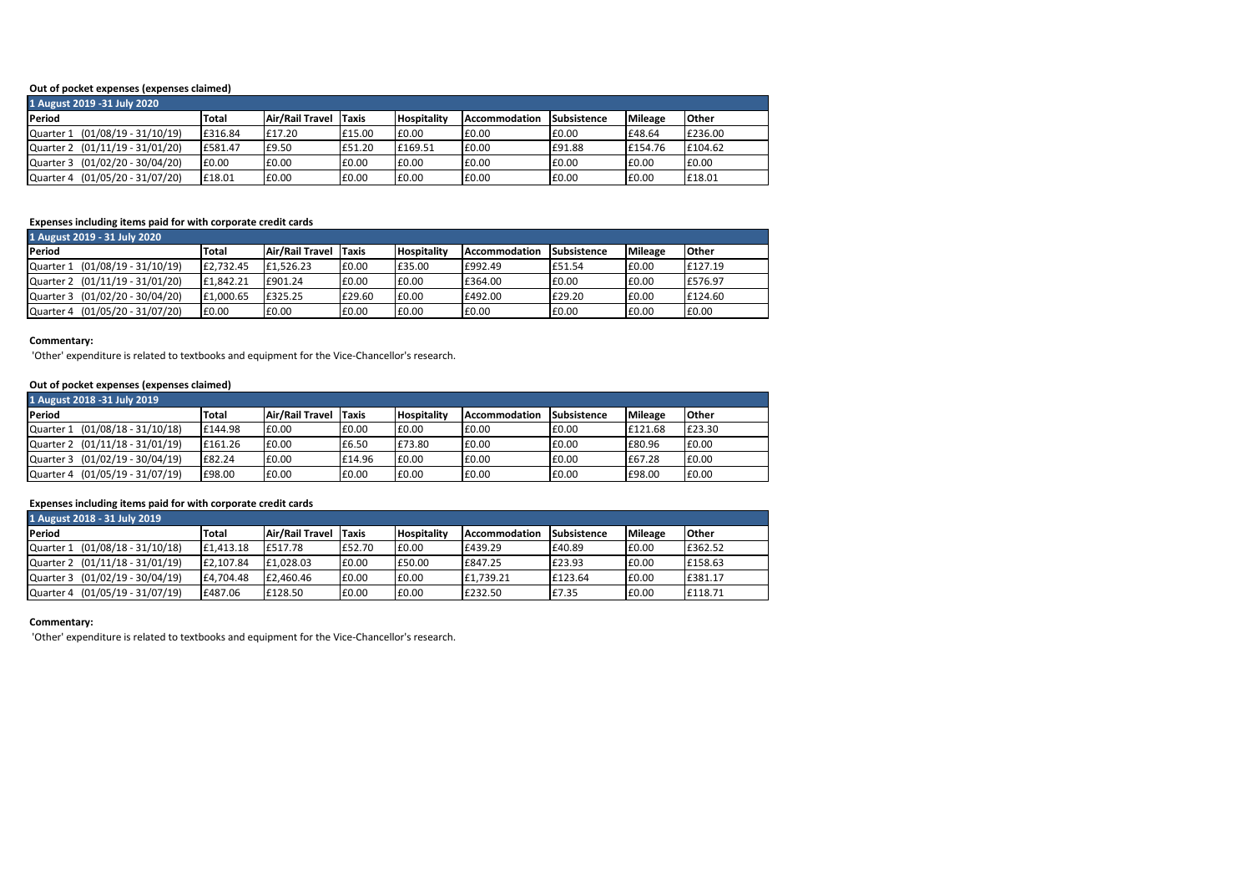### **Out of pocket expenses (expenses claimed)**

| 1 August 2019 - 31 July 2020    |         |                 |              |                    |               |             |                |         |  |
|---------------------------------|---------|-----------------|--------------|--------------------|---------------|-------------|----------------|---------|--|
| Period                          | Total   | Air/Rail Travel | <b>Taxis</b> | <b>Hospitality</b> | Accommodation | Subsistence | <b>Mileage</b> | Other   |  |
| Quarter 1 (01/08/19 - 31/10/19) | £316.84 | £17.20          | £15.00       | £0.00              | £0.00         | £0.00       | £48.64         | £236.00 |  |
| Quarter 2 (01/11/19 - 31/01/20) | £581.47 | £9.50           | £51.20       | £169.51            | £0.00         | £91.88      | £154.76        | £104.62 |  |
| Quarter 3 (01/02/20 - 30/04/20) | £0.00   | £0.00           | £0.00        | £0.00              | £0.00         | £0.00       | £0.00          | £0.00   |  |
| Quarter 4 (01/05/20 - 31/07/20) | £18.01  | £0.00           | £0.00        | £0.00              | £0.00         | £0.00       | £0.00          | £18.01  |  |

# **Expenses including items paid for with corporate credit cards**

| 1 August 2019 - 31 July 2020       |              |                 |        |                    |                      |             |                |         |  |  |
|------------------------------------|--------------|-----------------|--------|--------------------|----------------------|-------------|----------------|---------|--|--|
| Period                             | <b>Total</b> | Air/Rail Travel | Taxis  | <b>Hospitality</b> | <b>Accommodation</b> | Subsistence | <b>Mileage</b> | Other   |  |  |
| (01/08/19 - 31/10/19)<br>Quarter 1 | £2.732.45    | £1,526.23       | £0.00  | £35.00             | £992.49              | £51.54      | £0.00          | £127.19 |  |  |
| Quarter 2 (01/11/19 - 31/01/20)    | £1,842.21    | £901.24         | £0.00  | £0.00              | £364.00              | £0.00       | £0.00          | £576.97 |  |  |
| Quarter 3 (01/02/20 - 30/04/20)    | £1.000.65    | £325.25         | £29.60 | £0.00              | £492.00              | £29.20      | £0.00          | £124.60 |  |  |
| (01/05/20 - 31/07/20)<br>Quarter 4 | £0.00        | £0.00           | £0.00  | £0.00              | £0.00                | £0.00       | £0.00          | £0.00   |  |  |

### **Commentary:**

'Other' expenditure is related to textbooks and equipment for the Vice-Chancellor's research.

### **Out of pocket expenses (expenses claimed)**

| 1 August 2018 - 31 July 2019       |              |                 |        |                    |               |             |                |        |  |  |
|------------------------------------|--------------|-----------------|--------|--------------------|---------------|-------------|----------------|--------|--|--|
| Period                             | <b>Total</b> | Air/Rail Travel | Taxis  | <b>Hospitality</b> | Accommodation | Subsistence | <b>Mileage</b> | Other  |  |  |
| Quarter 1 (01/08/18 - 31/10/18)    | £144.98      | £0.00           | £0.00  | £0.00              | £0.00         | E0.00       | £121.68        | £23.30 |  |  |
| Quarter 2 (01/11/18 - 31/01/19)    | £161.26      | £0.00           | £6.50  | £73.80             | £0.00         | £0.00       | £80.96         | £0.00  |  |  |
| Quarter 3 (01/02/19 - 30/04/19)    | £82.24       | £0.00           | £14.96 | £0.00              | £0.00         | £0.00       | £67.28         | £0.00  |  |  |
| (01/05/19 - 31/07/19)<br>Quarter 4 | £98.00       | £0.00           | £0.00  | £0.00              | £0.00         | £0.00       | £98.00         | £0.00  |  |  |

# **Expenses including items paid for with corporate credit cards**

| 1 August 2018 - 31 July 2019       |           |                 |        |                    |               |             |                |               |  |  |
|------------------------------------|-----------|-----------------|--------|--------------------|---------------|-------------|----------------|---------------|--|--|
| Period                             | Total     | Air/Rail Travel | Taxis  | <b>Hospitality</b> | Accommodation | Subsistence | <b>Mileage</b> | <b>lOther</b> |  |  |
| (01/08/18 - 31/10/18)<br>Quarter 1 | £1,413.18 | £517.78         | £52.70 | £0.00              | £439.29       | £40.89      | £0.00          | £362.52       |  |  |
| Quarter 2 (01/11/18 - 31/01/19)    | £2,107.84 | £1.028.03       | £0.00  | £50.00             | £847.25       | £23.93      | £0.00          | £158.63       |  |  |
| Quarter 3 (01/02/19 - 30/04/19)    | £4.704.48 | £2.460.46       | £0.00  | £0.00              | £1.739.21     | £123.64     | £0.00          | £381.17       |  |  |
| (01/05/19 - 31/07/19)<br>Quarter 4 | £487.06   | £128.50         | £0.00  | £0.00              | £232.50       | £7.35       | £0.00          | £118.71       |  |  |

### **Commentary:**

'Other' expenditure is related to textbooks and equipment for the Vice-Chancellor's research.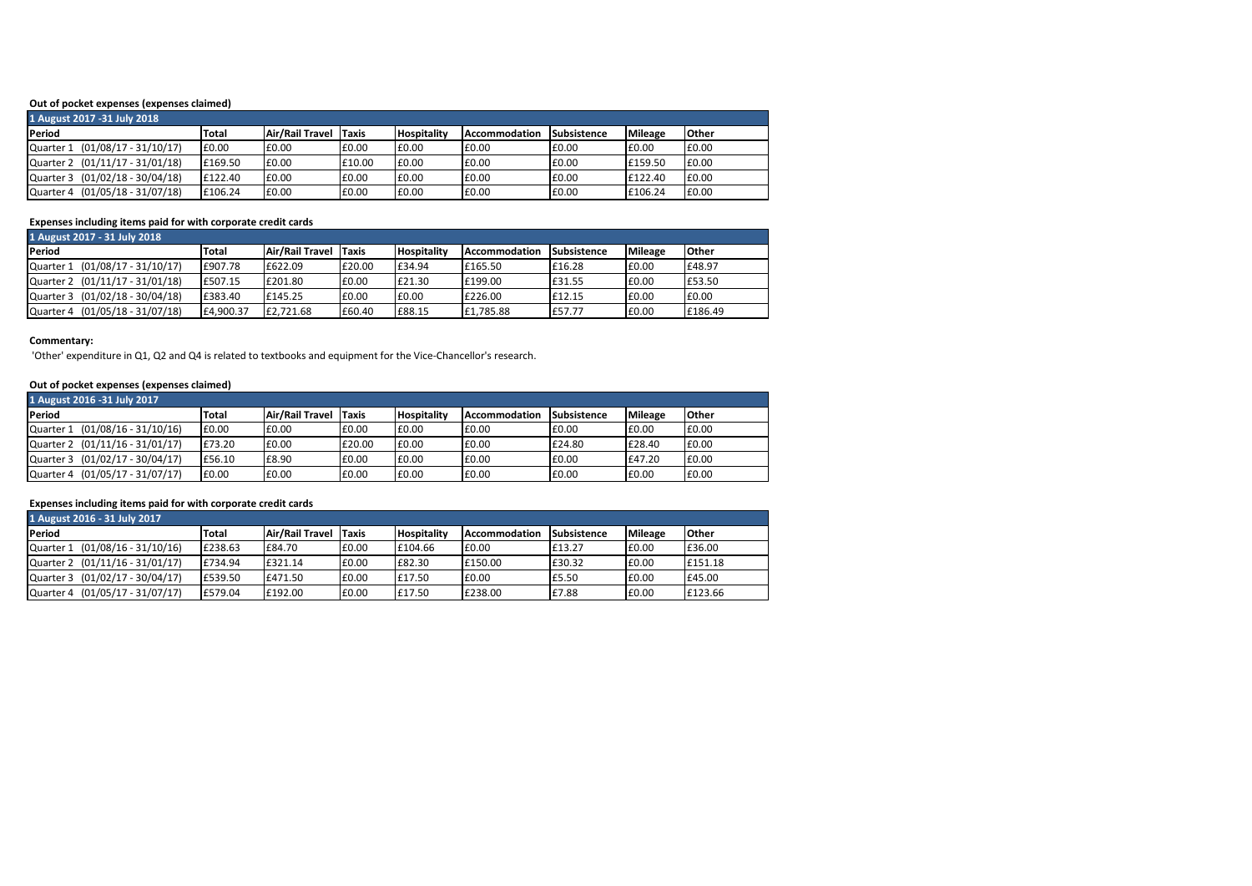## **Out of pocket expenses (expenses claimed)**

| 1 August 2017 - 31 July 2018       |         |                 |        |                    |               |             |                |       |  |
|------------------------------------|---------|-----------------|--------|--------------------|---------------|-------------|----------------|-------|--|
| Period                             | Total   | Air/Rail Travel | Taxis  | <b>Hospitality</b> | Accommodation | Subsistence | <b>Mileage</b> | Other |  |
| (01/08/17 - 31/10/17)<br>Quarter 1 | £0.00   | £0.00           | £0.00  | £0.00              | £0.00         | £0.00       | £0.00          | £0.00 |  |
| Quarter 2 (01/11/17 - 31/01/18)    | £169.50 | £0.00           | £10.00 | £0.00              | £0.00         | £0.00       | £159.50        | £0.00 |  |
| Quarter 3 (01/02/18 - 30/04/18)    | £122.40 | £0.00           | £0.00  | £0.00              | £0.00         | £0.00       | £122.40        | £0.00 |  |
| Quarter 4 (01/05/18 - 31/07/18)    | £106.24 | £0.00           | £0.00  | £0.00              | E0.00         | £0.00       | £106.24        | £0.00 |  |

# **Expenses including items paid for with corporate credit cards**

| 1 August 2017 - 31 July 2018    |              |                 |              |                    |               |             |                |              |  |  |
|---------------------------------|--------------|-----------------|--------------|--------------------|---------------|-------------|----------------|--------------|--|--|
| Period                          | <b>Total</b> | Air/Rail Travel | <b>Taxis</b> | <b>Hospitality</b> | Accommodation | Subsistence | <b>Mileage</b> | <b>Other</b> |  |  |
| Quarter 1 (01/08/17 - 31/10/17) | £907.78      | £622.09         | £20.00       | £34.94             | £165.50       | £16.28      | £0.00          | £48.97       |  |  |
| Quarter 2 (01/11/17 - 31/01/18) | £507.15      | £201.80         | £0.00        | £21.30             | £199.00       | £31.55      | £0.00          | £53.50       |  |  |
| Quarter 3 (01/02/18 - 30/04/18) | £383.40      | £145.25         | £0.00        | £0.00              | £226.00       | £12.15      | £0.00          | £0.00        |  |  |
| Quarter 4 (01/05/18 - 31/07/18) | £4.900.37    | £2.721.68       | £60.40       | £88.15             | £1.785.88     | £57.77      | £0.00          | £186.49      |  |  |

### **Commentary:**

'Other' expenditure in Q1, Q2 and Q4 is related to textbooks and equipment for the Vice-Chancellor's research.

### **Out of pocket expenses (expenses claimed)**

| 1 August 2016 -31 July 2017        |        |                       |        |                    |               |             |                |              |  |  |
|------------------------------------|--------|-----------------------|--------|--------------------|---------------|-------------|----------------|--------------|--|--|
| Period                             | Total  | Air/Rail Travel Taxis |        | <b>Hospitality</b> | Accommodation | Subsistence | <b>Mileage</b> | <b>Other</b> |  |  |
| (01/08/16 - 31/10/16)<br>Quarter 1 | £0.00  | £0.00                 | £0.00  | £0.00              | £0.00         | E0.00       | £0.00          | £0.00        |  |  |
| Quarter 2 (01/11/16 - 31/01/17)    | £73.20 | £0.00                 | £20.00 | £0.00              | £0.00         | £24.80      | £28.40         | £0.00        |  |  |
| Quarter 3 (01/02/17 - 30/04/17)    | £56.10 | £8.90                 | £0.00  | £0.00              | £0.00         | £0.00       | £47.20         | £0.00        |  |  |
| Quarter 4 (01/05/17 - 31/07/17)    | £0.00  | £0.00                 | £0.00  | £0.00              | £0.00         | £0.00       | £0.00          | £0.00        |  |  |

# **Expenses including items paid for with corporate credit cards**

| 1 August 2016 - 31 July 2017       |              |                 |       |                    |                      |             |         |         |  |  |
|------------------------------------|--------------|-----------------|-------|--------------------|----------------------|-------------|---------|---------|--|--|
| Period                             | <b>Total</b> | Air/Rail Travel | Taxis | <b>Hospitality</b> | <b>Accommodation</b> | Subsistence | Mileage | Other   |  |  |
| (01/08/16 - 31/10/16)<br>Quarter 1 | £238.63      | £84.70          | £0.00 | £104.66            | £0.00                | E13.27      | £0.00   | £36.00  |  |  |
| Quarter 2 (01/11/16 - 31/01/17)    | £734.94      | £321.14         | £0.00 | £82.30             | £150.00              | £30.32      | £0.00   | £151.18 |  |  |
| Quarter 3 (01/02/17 - 30/04/17)    | £539.50      | £471.50         | £0.00 | £17.50             | £0.00                | £5.50       | £0.00   | £45.00  |  |  |
| Quarter 4 (01/05/17 - 31/07/17)    | £579.04      | £192.00         | £0.00 | £17.50             | £238.00              | £7.88       | £0.00   | £123.66 |  |  |